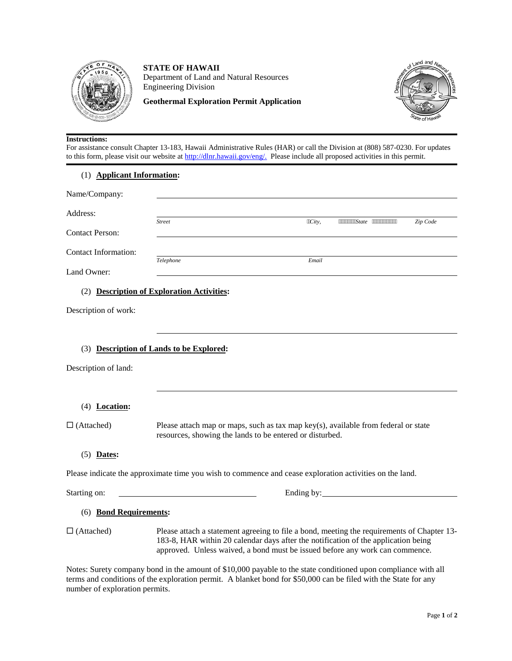

**STATE OF HAWAII** Department of Land and Natural Resources Engineering Division

**Geothermal Exploration Permit Application**



#### **Instructions:**

For assistance consult Chapter 13-183, Hawaii Administrative Rules (HAR) or call the Division at (808) 587-0230. For updates to this form, please visit our website at [http://dlnr.hawaii.gov/eng/.](http://dlnr.hawaii.gov/eng/) Please include all proposed activities in this permit.

#### (1) **Applicant Information:**

| Name/Company:               |               |        |                                     |          |
|-----------------------------|---------------|--------|-------------------------------------|----------|
| Address:                    |               |        |                                     |          |
|                             | <b>Street</b> | "City, | """""""State<br>,,,,,,,,,,,,,,,,,,, | Zip Code |
| <b>Contact Person:</b>      |               |        |                                     |          |
| <b>Contact Information:</b> |               |        |                                     |          |
|                             | Telephone     | Email  |                                     |          |
| Land Owner:                 |               |        |                                     |          |

(2) **Description of Exploration Activities:**

Description of work:

## (3) **Description of Lands to be Explored:**

| Please attach map or maps, such as tax map key(s), available from federal or state<br>resources, showing the lands to be entered or disturbed.                                                                                                                   |  |  |
|------------------------------------------------------------------------------------------------------------------------------------------------------------------------------------------------------------------------------------------------------------------|--|--|
|                                                                                                                                                                                                                                                                  |  |  |
| Please indicate the approximate time you wish to commence and cease exploration activities on the land.                                                                                                                                                          |  |  |
|                                                                                                                                                                                                                                                                  |  |  |
| <b>Bond Requirements:</b>                                                                                                                                                                                                                                        |  |  |
| Please attach a statement agreeing to file a bond, meeting the requirements of Chapter 13-<br>183-8, HAR within 20 calendar days after the notification of the application being<br>approved. Unless waived, a bond must be issued before any work can commence. |  |  |
|                                                                                                                                                                                                                                                                  |  |  |

Notes: Surety company bond in the amount of \$10,000 payable to the state conditioned upon compliance with all terms and conditions of the exploration permit. A blanket bond for \$50,000 can be filed with the State for any number of exploration permits.